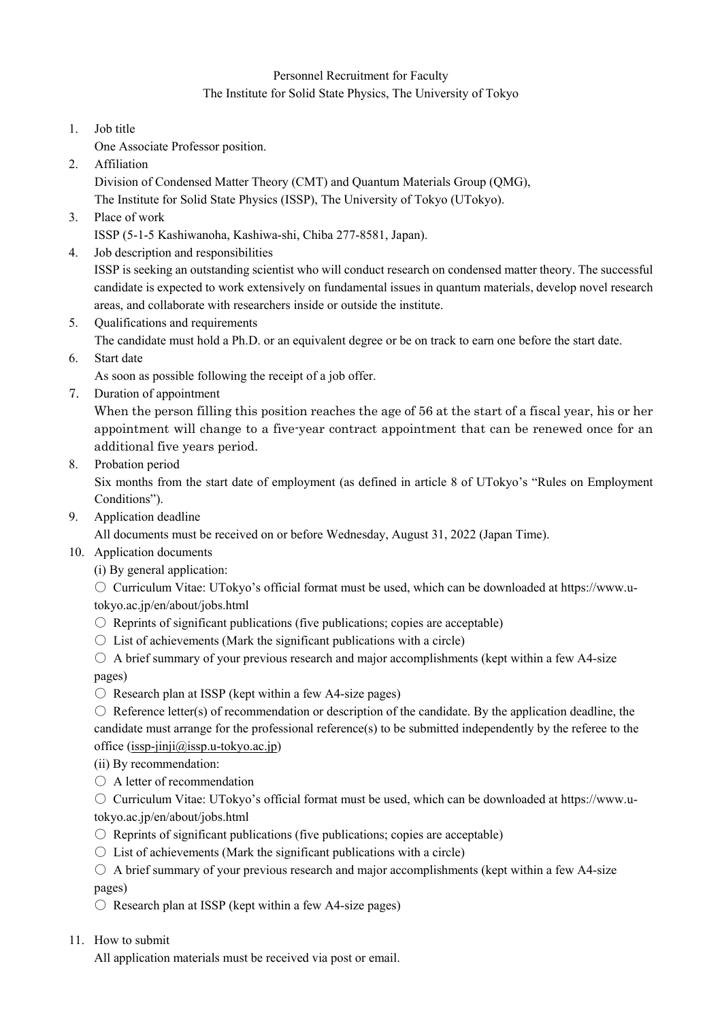## Personnel Recruitment for Faculty The Institute for Solid State Physics, The University of Tokyo

- 1. Job title
	- One Associate Professor position.
- 2. Affiliation

Division of Condensed Matter Theory (CMT) and Quantum Materials Group (QMG), The Institute for Solid State Physics (ISSP), The University of Tokyo (UTokyo).

3. Place of work

ISSP (5-1-5 Kashiwanoha, Kashiwa-shi, Chiba 277-8581, Japan).

4. Job description and responsibilities

ISSP is seeking an outstanding scientist who will conduct research on condensed matter theory. The successful candidate is expected to work extensively on fundamental issues in quantum materials, develop novel research areas, and collaborate with researchers inside or outside the institute.

5. Qualifications and requirements

The candidate must hold a Ph.D. or an equivalent degree or be on track to earn one before the start date.

6. Start date

As soon as possible following the receipt of a job offer.

7. Duration of appointment

When the person filling this position reaches the age of 56 at the start of a fiscal year, his or her appointment will change to a five-year contract appointment that can be renewed once for an additional five years period.

8. Probation period

Six months from the start date of employment (as defined in article 8 of UTokyo's "Rules on Employment Conditions").

9. Application deadline

All documents must be received on or before Wednesday, August 31, 2022 (Japan Time).

- 10. Application documents
	- (i) By general application:

○ Curriculum Vitae: UTokyo's official format must be used, which can be downloaded at https://www.utokyo.ac.jp/en/about/jobs.html

- $\circ$  Reprints of significant publications (five publications; copies are acceptable)
- $\circ$  List of achievements (Mark the significant publications with a circle)
- $\circ$  A brief summary of your previous research and major accomplishments (kept within a few A4-size pages)
- $\circ$  Research plan at ISSP (kept within a few A4-size pages)

 $\circ$  Reference letter(s) of recommendation or description of the candidate. By the application deadline, the candidate must arrange for the professional reference(s) to be submitted independently by the referee to the office (issp-jinji@issp.u-tokyo.ac.jp)

- (ii) By recommendation:
- A letter of recommendation

○ Curriculum Vitae: UTokyo's official format must be used, which can be downloaded at https://www.utokyo.ac.jp/en/about/jobs.html

- $\circ$  Reprints of significant publications (five publications; copies are acceptable)
- $\circ$  List of achievements (Mark the significant publications with a circle)
- $\circ$  A brief summary of your previous research and major accomplishments (kept within a few A4-size pages)
- $\circ$  Research plan at ISSP (kept within a few A4-size pages)
- 11. How to submit

All application materials must be received via post or email.